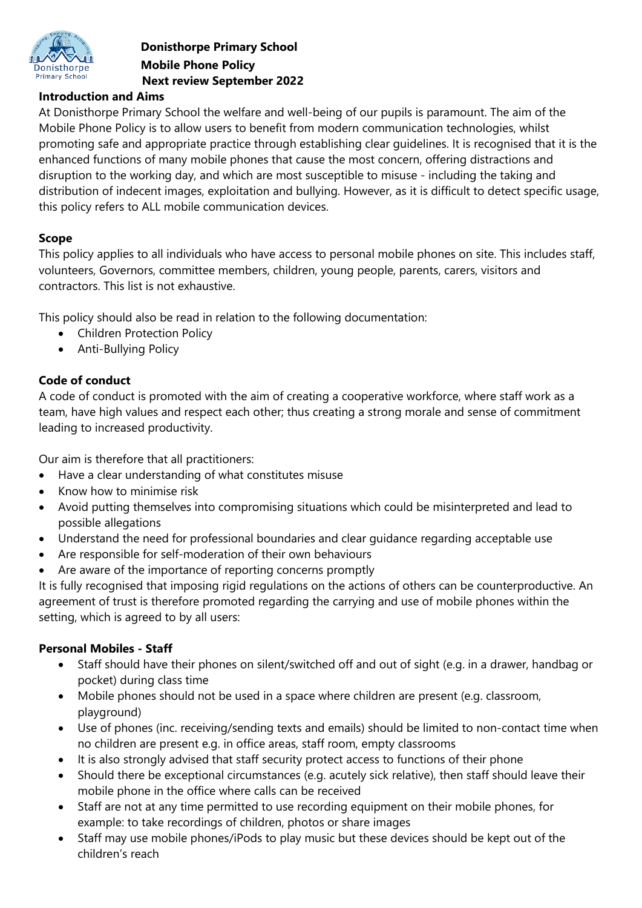

## **Donisthorpe Primary School Mobile Phone Policy Next review September 2022**

### **Introduction and Aims**

At Donisthorpe Primary School the welfare and well-being of our pupils is paramount. The aim of the Mobile Phone Policy is to allow users to benefit from modern communication technologies, whilst promoting safe and appropriate practice through establishing clear guidelines. It is recognised that it is the enhanced functions of many mobile phones that cause the most concern, offering distractions and disruption to the working day, and which are most susceptible to misuse - including the taking and distribution of indecent images, exploitation and bullying. However, as it is difficult to detect specific usage, this policy refers to ALL mobile communication devices.

## **Scope**

This policy applies to all individuals who have access to personal mobile phones on site. This includes staff, volunteers, Governors, committee members, children, young people, parents, carers, visitors and contractors. This list is not exhaustive.

This policy should also be read in relation to the following documentation:

- Children Protection Policy
- Anti-Bullying Policy

## **Code of conduct**

A code of conduct is promoted with the aim of creating a cooperative workforce, where staff work as a team, have high values and respect each other; thus creating a strong morale and sense of commitment leading to increased productivity.

Our aim is therefore that all practitioners:

- Have a clear understanding of what constitutes misuse
- Know how to minimise risk
- Avoid putting themselves into compromising situations which could be misinterpreted and lead to possible allegations
- Understand the need for professional boundaries and clear guidance regarding acceptable use
- Are responsible for self-moderation of their own behaviours
- Are aware of the importance of reporting concerns promptly

It is fully recognised that imposing rigid regulations on the actions of others can be counterproductive. An agreement of trust is therefore promoted regarding the carrying and use of mobile phones within the setting, which is agreed to by all users:

### **Personal Mobiles - Staff**

- Staff should have their phones on silent/switched off and out of sight (e.g. in a drawer, handbag or pocket) during class time
- Mobile phones should not be used in a space where children are present (e.g. classroom, playground)
- Use of phones (inc. receiving/sending texts and emails) should be limited to non-contact time when no children are present e.g. in office areas, staff room, empty classrooms
- It is also strongly advised that staff security protect access to functions of their phone
- Should there be exceptional circumstances (e.g. acutely sick relative), then staff should leave their mobile phone in the office where calls can be received
- Staff are not at any time permitted to use recording equipment on their mobile phones, for example: to take recordings of children, photos or share images
- Staff may use mobile phones/iPods to play music but these devices should be kept out of the children's reach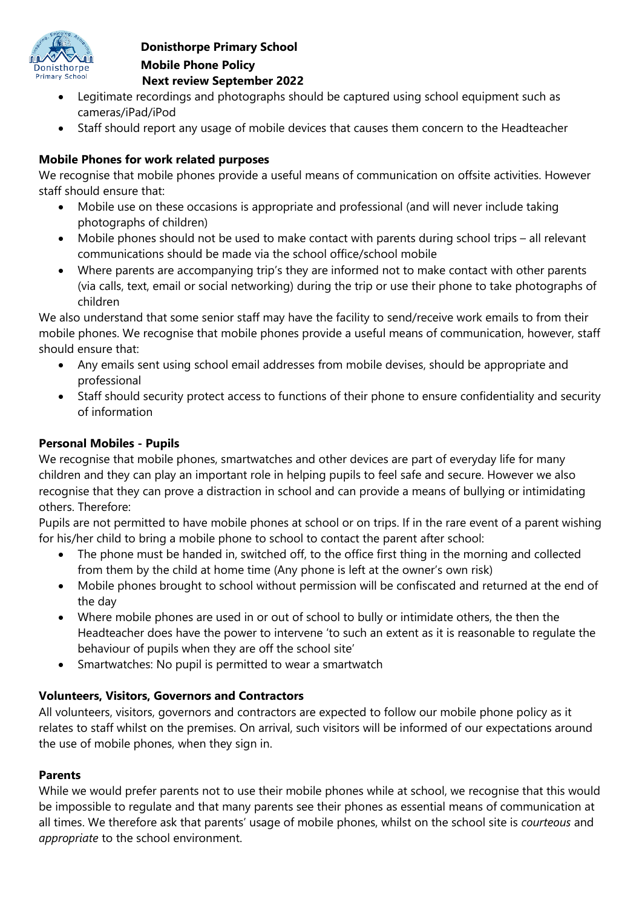

## **Donisthorpe Primary School Mobile Phone Policy Next review September 2022**

- Legitimate recordings and photographs should be captured using school equipment such as cameras/iPad/iPod
- Staff should report any usage of mobile devices that causes them concern to the Headteacher

# **Mobile Phones for work related purposes**

We recognise that mobile phones provide a useful means of communication on offsite activities. However staff should ensure that:

- Mobile use on these occasions is appropriate and professional (and will never include taking photographs of children)
- Mobile phones should not be used to make contact with parents during school trips all relevant communications should be made via the school office/school mobile
- Where parents are accompanying trip's they are informed not to make contact with other parents (via calls, text, email or social networking) during the trip or use their phone to take photographs of children

We also understand that some senior staff may have the facility to send/receive work emails to from their mobile phones. We recognise that mobile phones provide a useful means of communication, however, staff should ensure that:

- Any emails sent using school email addresses from mobile devises, should be appropriate and professional
- Staff should security protect access to functions of their phone to ensure confidentiality and security of information

## **Personal Mobiles - Pupils**

We recognise that mobile phones, smartwatches and other devices are part of everyday life for many children and they can play an important role in helping pupils to feel safe and secure. However we also recognise that they can prove a distraction in school and can provide a means of bullying or intimidating others. Therefore:

Pupils are not permitted to have mobile phones at school or on trips. If in the rare event of a parent wishing for his/her child to bring a mobile phone to school to contact the parent after school:

- The phone must be handed in, switched off, to the office first thing in the morning and collected from them by the child at home time (Any phone is left at the owner's own risk)
- Mobile phones brought to school without permission will be confiscated and returned at the end of the day
- Where mobile phones are used in or out of school to bully or intimidate others, the then the Headteacher does have the power to intervene 'to such an extent as it is reasonable to regulate the behaviour of pupils when they are off the school site'
- Smartwatches: No pupil is permitted to wear a smartwatch

### **Volunteers, Visitors, Governors and Contractors**

All volunteers, visitors, governors and contractors are expected to follow our mobile phone policy as it relates to staff whilst on the premises. On arrival, such visitors will be informed of our expectations around the use of mobile phones, when they sign in.

### **Parents**

While we would prefer parents not to use their mobile phones while at school, we recognise that this would be impossible to regulate and that many parents see their phones as essential means of communication at all times. We therefore ask that parents' usage of mobile phones, whilst on the school site is *courteous* and *appropriate* to the school environment.